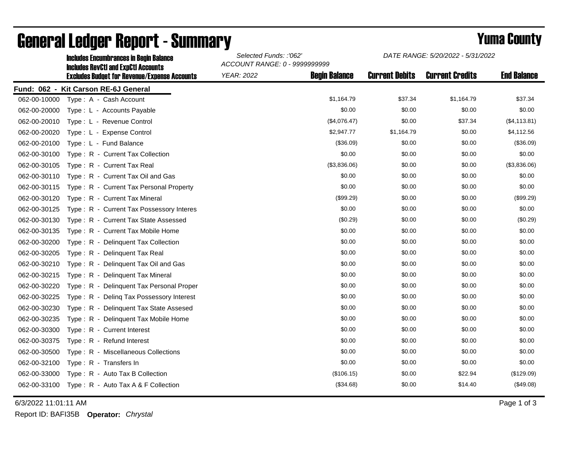|              | <b>Includes Encumbrances in Begin Balance</b><br><b>Includes RevCtI and ExpCtI Accounts</b><br><b>Excludes Budget for Revenue/Expense Accounts</b> | Selected Funds: :'062'<br>ACCOUNT RANGE: 0 - 9999999999 |                      | DATE RANGE: 5/20/2022 - 5/31/2022 |                        |                    |
|--------------|----------------------------------------------------------------------------------------------------------------------------------------------------|---------------------------------------------------------|----------------------|-----------------------------------|------------------------|--------------------|
|              |                                                                                                                                                    | <b>YEAR: 2022</b>                                       | <b>Begin Balance</b> | <b>Current Debits</b>             | <b>Current Credits</b> | <b>End Balance</b> |
|              | Fund: 062 - Kit Carson RE-6J General                                                                                                               |                                                         |                      |                                   |                        |                    |
| 062-00-10000 | Type: A - Cash Account                                                                                                                             |                                                         | \$1,164.79           | \$37.34                           | \$1,164.79             | \$37.34            |
| 062-00-20000 | Type: L - Accounts Payable                                                                                                                         |                                                         | \$0.00               | \$0.00                            | \$0.00                 | \$0.00             |
| 062-00-20010 | Type: L - Revenue Control                                                                                                                          |                                                         | (\$4,076.47)         | \$0.00                            | \$37.34                | (\$4, 113.81)      |
| 062-00-20020 | Type: L - Expense Control                                                                                                                          |                                                         | \$2,947.77           | \$1,164.79                        | \$0.00                 | \$4,112.56         |
| 062-00-20100 | Type: L - Fund Balance                                                                                                                             |                                                         | (\$36.09)            | \$0.00                            | \$0.00                 | (\$36.09)          |
| 062-00-30100 | Type: R - Current Tax Collection                                                                                                                   |                                                         | \$0.00               | \$0.00                            | \$0.00                 | \$0.00             |
| 062-00-30105 | Type: R - Current Tax Real                                                                                                                         |                                                         | (\$3,836.06)         | \$0.00                            | \$0.00                 | (\$3,836.06)       |
| 062-00-30110 | Type: R - Current Tax Oil and Gas                                                                                                                  |                                                         | \$0.00               | \$0.00                            | \$0.00                 | \$0.00             |
| 062-00-30115 | Type: R - Current Tax Personal Property                                                                                                            |                                                         | \$0.00               | \$0.00                            | \$0.00                 | \$0.00             |
| 062-00-30120 | Type: R - Current Tax Mineral                                                                                                                      |                                                         | (\$99.29)            | \$0.00                            | \$0.00                 | (\$99.29)          |
| 062-00-30125 | Type: R - Current Tax Possessory Interes                                                                                                           |                                                         | \$0.00               | \$0.00                            | \$0.00                 | \$0.00             |
| 062-00-30130 | Type: R - Current Tax State Assessed                                                                                                               |                                                         | (\$0.29)             | \$0.00                            | \$0.00                 | (\$0.29)           |
| 062-00-30135 | Type: R - Current Tax Mobile Home                                                                                                                  |                                                         | \$0.00               | \$0.00                            | \$0.00                 | \$0.00             |
| 062-00-30200 | Type: R - Delinquent Tax Collection                                                                                                                |                                                         | \$0.00               | \$0.00                            | \$0.00                 | \$0.00             |
| 062-00-30205 | Type: R - Delinguent Tax Real                                                                                                                      |                                                         | \$0.00               | \$0.00                            | \$0.00                 | \$0.00             |
| 062-00-30210 | Type: R - Delinquent Tax Oil and Gas                                                                                                               |                                                         | \$0.00               | \$0.00                            | \$0.00                 | \$0.00             |
| 062-00-30215 | Type: R - Delinquent Tax Mineral                                                                                                                   |                                                         | \$0.00               | \$0.00                            | \$0.00                 | \$0.00             |
| 062-00-30220 | Type: R - Delinquent Tax Personal Proper                                                                                                           |                                                         | \$0.00               | \$0.00                            | \$0.00                 | \$0.00             |
| 062-00-30225 | Type: R - Deling Tax Possessory Interest                                                                                                           |                                                         | \$0.00               | \$0.00                            | \$0.00                 | \$0.00             |
| 062-00-30230 | Type: R - Delinquent Tax State Assesed                                                                                                             |                                                         | \$0.00               | \$0.00                            | \$0.00                 | \$0.00             |
| 062-00-30235 | Type: R - Delinquent Tax Mobile Home                                                                                                               |                                                         | \$0.00               | \$0.00                            | \$0.00                 | \$0.00             |
| 062-00-30300 | Type: R - Current Interest                                                                                                                         |                                                         | \$0.00               | \$0.00                            | \$0.00                 | \$0.00             |
| 062-00-30375 | Type: R - Refund Interest                                                                                                                          |                                                         | \$0.00               | \$0.00                            | \$0.00                 | \$0.00             |
| 062-00-30500 | Type: R - Miscellaneous Collections                                                                                                                |                                                         | \$0.00               | \$0.00                            | \$0.00                 | \$0.00             |
| 062-00-32100 | Type: R - Transfers In                                                                                                                             |                                                         | \$0.00               | \$0.00                            | \$0.00                 | \$0.00             |
| 062-00-33000 | Type: R - Auto Tax B Collection                                                                                                                    |                                                         | (\$106.15)           | \$0.00                            | \$22.94                | (\$129.09)         |
| 062-00-33100 | Type: R - Auto Tax A & F Collection                                                                                                                |                                                         | (\$34.68)            | \$0.00                            | \$14.40                | (\$49.08)          |

## General Ledger Report - Summary **Example 2018** Yuma County

6/3/2022 11:01:11 AM Page 1 of 3

Report ID: BAFI35B **Operator:** *Chrystal*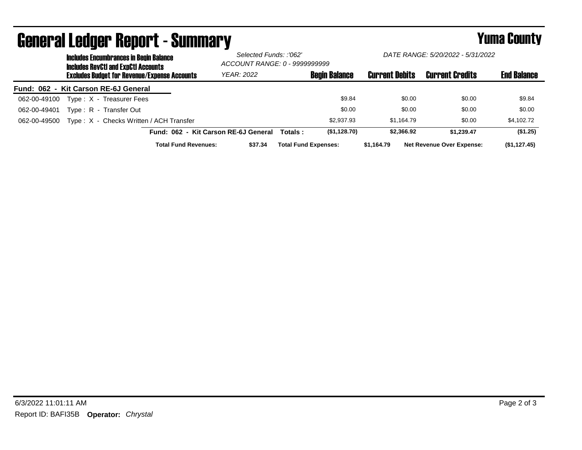| <b>Includes Encumbrances in Begin Balance</b><br><b>Includes RevCtI and ExpCtI Accounts</b> | Selected Funds: :'062'<br>ACCOUNT RANGE: 0 - 9999999999 |                             | DATE RANGE: 5/20/2022 - 5/31/2022 |                       |                                  |                    |
|---------------------------------------------------------------------------------------------|---------------------------------------------------------|-----------------------------|-----------------------------------|-----------------------|----------------------------------|--------------------|
| <b>Excludes Budget for Revenue/Expense Accounts</b>                                         | <b>YEAR: 2022</b>                                       |                             | <b>Begin Balance</b>              | <b>Current Debits</b> | <b>Current Credits</b>           | <b>End Balance</b> |
| Fund: 062 - Kit Carson RE-6J General                                                        |                                                         |                             |                                   |                       |                                  |                    |
| Type: X - Treasurer Fees<br>062-00-49100                                                    |                                                         |                             | \$9.84                            | \$0.00                | \$0.00                           | \$9.84             |
| Type: R - Transfer Out<br>062-00-49401                                                      |                                                         |                             | \$0.00                            | \$0.00                | \$0.00                           | \$0.00             |
| Type: X - Checks Written / ACH Transfer<br>062-00-49500                                     |                                                         |                             | \$2,937.93                        | \$1.164.79            | \$0.00                           | \$4,102.72         |
|                                                                                             | Fund: 062 - Kit Carson RE-6J General                    | Totals :                    | (\$1,128.70)                      | \$2,366.92            | \$1.239.47                       | (\$1.25)           |
| <b>Total Fund Revenues:</b>                                                                 | \$37.34                                                 | <b>Total Fund Expenses:</b> |                                   | \$1,164.79            | <b>Net Revenue Over Expense:</b> | (\$1,127.45)       |

## General Ledger Report - Summary **Example 2018** Yuma County